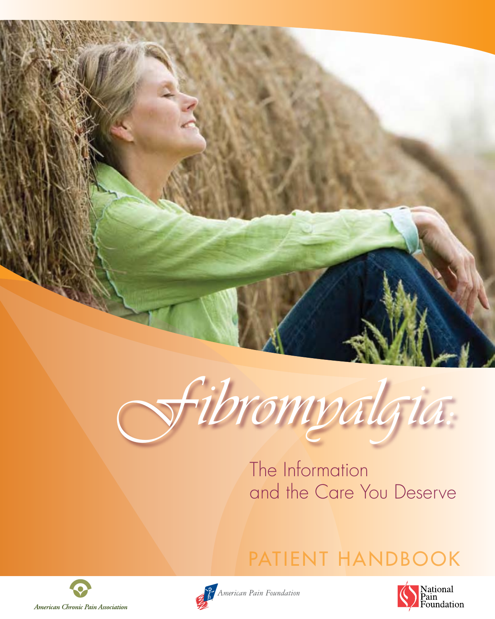



The Information and the Care You Deserve









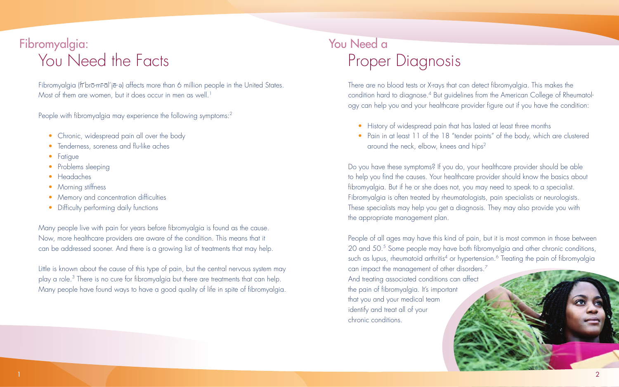Many people live with pain for years before fibromyalgia is found as the cause. Now, more healthcare providers are aware of the condition. This means that it can be addressed sooner. And there is a growing list of treatments that may help.

Little is known about the cause of this type of pain, but the central nervous system may play a role.<sup>3</sup> There is no cure for fibromyalgia but there are treatments that can help. Many people have found ways to have a good quality of life in spite of fibromyalgia.

There are no blood tests or X-rays that can detect fibromyalgia. This makes the condition hard to diagnose.<sup>4</sup> But guidelines from the American College of Rheumatology can help you and your healthcare provider figure out if you have the condition:

- History of widespread pain that has lasted at least three months
- Pain in at least 11 of the 18 "tender points" of the body, which are clustered around the neck, elbow, knees and hips<sup>2</sup>

# Fibromyalgia: You Need a You Need the Facts Proper Diagnosis

Fibromyalgia (fī'brō-mī-āl'jē-ə) affects more than 6 million people in the United States. Most of them are women, but it does occur in men as well.<sup>1</sup>

People with fibromyalgia may experience the following symptoms: $^2$ 

- Chronic, widespread pain all over the body
- Tenderness, soreness and flu-like aches
- Fatigue
- Problems sleeping
- Headaches
- Morning stiffness
- Memory and concentration difficulties
- Difficulty performing daily functions

Do you have these symptoms? If you do, your healthcare provider should be able to help you find the causes. Your healthcare provider should know the basics about fibromyalgia. But if he or she does not, you may need to speak to a specialist. Fibromyalgia is often treated by rheumatologists, pain specialists or neurologists. These specialists may help you get a diagnosis. They may also provide you with the appropriate management plan.

People of all ages may have this kind of pain, but it is most common in those between 20 and 50.5 Some people may have both fibromyalgia and other chronic conditions, such as lupus, rheumatoid arthritis<sup>4</sup> or hypertension.<sup>6</sup> Treating the pain of fibromyalgia can impact the management of other disorders.7 And treating associated conditions can affect the pain of fibromyalgia. It's important that you and your medical team identify and treat all of your chronic conditions.

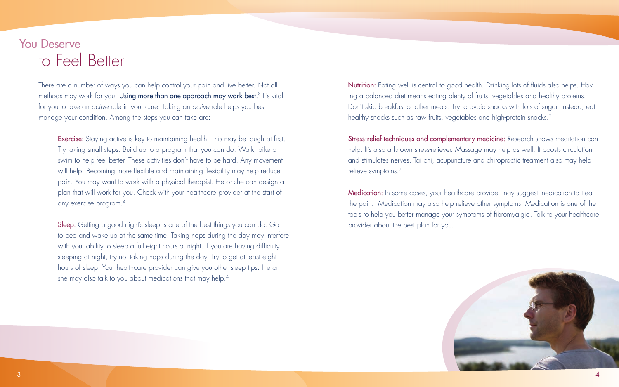There are a number of ways you can help control your pain and live better. Not all methods may work for you. **Using more than one approach may work best.**8 It's vital i for you to take an *active* role in your care. Taking an *active* role helps you best manage your condition. Among the steps you can take are:

Exercise: Staying active is key to maintaining health. This may be tough at first. Try taking small steps. Build up to a program that you can do. Walk, bike or swim to help feel better. These activities don't have to be hard. Any movement will help. Becoming more flexible and maintaining flexibility may help reduce pain. You may want to work with a physical therapist. He or she can design a plan that will work for you. Check with your healthcare provider at the start of any exercise program.4

Sleep: Getting a good night's sleep is one of the best things you can do. Go to bed and wake up at the same time. Taking naps during the day may interfere with your ability to sleep a full eight hours at night. If you are having difficulty sleeping at night, try not taking naps during the day. Try to get at least eight hours of sleep. Your healthcare provider can give you other sleep tips. He or she may also talk to you about medications that may help. $^4$ 

Nutrition: Eating well is central to good health. Drinking lots of fluids also helps. Having a balanced diet means eating plenty of fruits, vegetables and healthy proteins. Don't skip breakfast or other meals. Try to avoid snacks with lots of sugar. Instead, eat healthy snacks such as raw fruits, vegetables and high-protein snacks.<sup>9</sup>

Stress-relief techniques and complementary medicine: Research shows meditation can help. It's also a known stress-reliever. Massage may help as well. It boosts circulation and stimulates nerves. Tai chi, acupuncture and chiropractic treatment also may help relieve symptoms. $^7$ 

Medication: In some cases, your healthcare provider may suggest medication to treat the pain. Medication may also help relieve other symptoms. Medication is one of the tools to help you better manage your symptoms of fibromyalgia. Talk to your healthcare provider about the best plan for you.



### You Deserve to Feel Better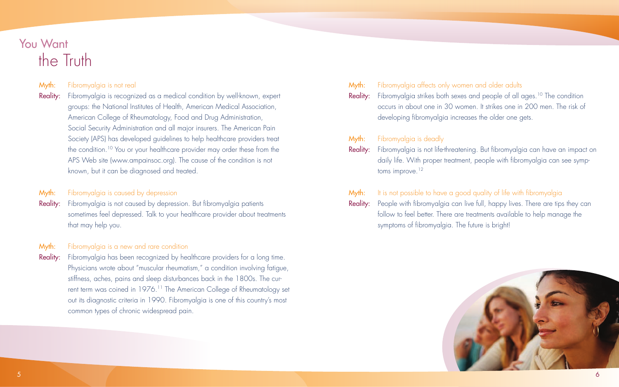Reality: Fibromyalgia is recognized as a medical condition by well-known, expert groups: the National Institutes of Health, American Medical Association, American College of Rheumatology, Food and Drug Administration, Social Security Administration and all major insurers. The American Pain Society (APS) has developed guidelines to help healthcare providers treat the condition.<sup>10</sup> You or your healthcare provider may order these from the APS Web site (www.ampainsoc.org). The cause of the condition is not known, but it can be diagnosed and treated.

### **Myth:** Fibromyalgia is caused by depression

Reality: Fibromyalgia is not caused by depression. But fibromyalgia patients sometimes feel depressed. Talk to your healthcare provider about treatments that may help you.

#### **Myth:** Fibromyalgia is a new and rare condition

Reality: Fibromyalgia has been recognized by healthcare providers for a long time. Physicians wrote about "muscular rheumatism," a condition involving fatigue, stiffness, aches, pains and sleep disturbances back in the 1800s. The current term was coined in 1976.<sup>11</sup> The American College of Rheumatology set out its diagnostic criteria in 1990. Fibromyalgia is one of this country's most common types of chronic widespread pain.

| Myth: | Fibromyalgia affects only women and<br><b>Reality:</b> Fibromyalgia strikes both sexes and p<br>occurs in about one in 30 women. It :<br>developing fibromyalgia increases the           |
|-------|------------------------------------------------------------------------------------------------------------------------------------------------------------------------------------------|
| Myth: | Fibromyalgia is deadly<br><b>Reality:</b> Fibromyalgia is not life-threatening. Bu<br>daily life. With proper treatment, peo<br>toms improve. $12$                                       |
| Myth: | It is not possible to have a good quali<br><b>Reality:</b> People with fibromyalgia can live full,<br>follow to feel better. There are treatme<br>symptoms of fibromyalgia. The future i |



#### older adults

eople of all ages.<sup>10</sup> The condition strikes one in 200 men. The risk of e older one gets.

ut fibromyalgia can have an impact on ple with fibromyalgia can see symp-

ity of life with fibromyalgia happy lives. There are tips they can ents available to help manage the is bright!

## You Want the Truth

#### Myth: Fibromyalgia is not real

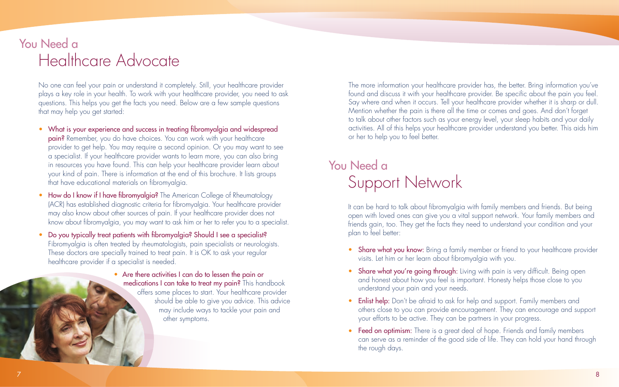It can be hard to talk about fibromyalgia with family members and friends. But being open with loved ones can give you a vital support network. Your family members and friends gain, too. They get the facts they need to understand your condition and your plan to feel better:

- Share what you know: Bring a family member or friend to your healthcare provider visits. Let him or her learn about fibromyalgia with you.
- Share what you're going through: Living with pain is very difficult. Being open and honest about how you feel is important. Honesty helps those close to you understand your pain and your needs.
- Enlist help: Don't be afraid to ask for help and support. Family members and others close to you can provide encouragement. They can encourage and support your efforts to be active. They can be partners in your progress.
- Feed on optimism: There is a great deal of hope. Friends and family members can serve as a reminder of the good side of life. They can hold your hand through the rough days.

## You Need a Healthcare Advocate

# You Need a Support Network

No one can feel your pain or understand it completely. Still, your healthcare provider plays a key role in your health. To work with your healthcare provider, you need to ask questions. This helps you get the facts you need. Below are a few sample questions that may help you get started:

- What is your experience and success in treating fibromyalgia and widespread pain? Remember, you do have choices. You can work with your healthcare provider to get help. You may require a second opinion. Or you may want to see a specialist. If your healthcare provider wants to learn more, you can also bring in resources you have found. This can help your healthcare provider learn about your kind of pain. There is information at the end of this brochure. It lists groups that have educational materials on fibromyalgia.
- How do I know if I have fibromyalgia? The American College of Rheumatology (ACR) has established diagnostic criteria for fibromyalgia. Your healthcare provider may also know about other sources of pain. If your healthcare provider does not know about fibromyalgia, you may want to ask him or her to refer you to a specialist.
- Do you typically treat patients with fibromyalgia? Should I see a specialist? Fibromyalgia is often treated by rheumatologists, pain specialists or neurologists. These doctors are specially trained to treat pain. It is OK to ask your regular healthcare provider if a specialist is needed.
	- Are there activities I can do to lessen the pain or medications I can take to treat my pain? This handbook offers some places to start. Your healthcare provider should be able to give you advice. This advice may include ways to tackle your pain and other symptoms.

The more information your healthcare provider has, the better. Bring information you've found and discuss it with your healthcare provider. Be specific about the pain you feel. Say where and when it occurs. Tell your healthcare provider whether it is sharp or dull. Mention whether the pain is there all the time or comes and goes. And don't forget to talk about other factors such as your energy level, your sleep habits and your daily activities. All of this helps your healthcare provider understand you better. This aids him or her to help you to feel better.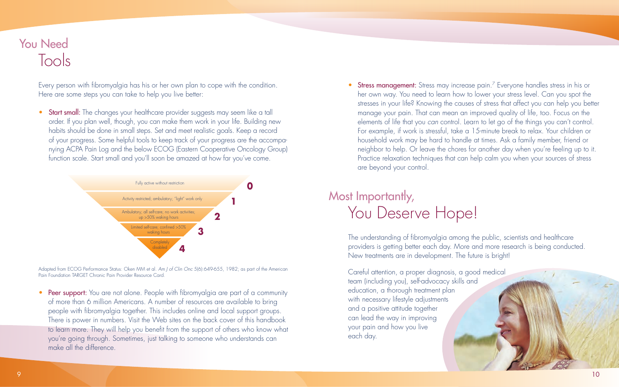The understanding of fibromyalgia among the public, scientists and healthcare providers is getting better each day. More and more research is being conducted. New treatments are in development. The future is bright!

Careful attention, a proper diagnosis, a good medical team (including you), self-advocacy skills and education, a thorough treatment plan with necessary lifestyle adjustments and a positive attitude together can lead the way in improving your pain and how you live each day.



### You Need Tools

## Most Importantly, You Deserve Hope!

• Start small: The changes your healthcare provider suggests may seem like a tall order. If you plan well, though, you can make them work in your life. Building new habits should be done in small steps. Set and meet realistic goals. Keep a record of your progress. Some helpful tools to keep track of your progress are the accompanying ACPA Pain Log and the below ECOG (Eastern Cooperative Oncology Group) function scale. Start small and you'll soon be amazed at how far you've come.

Every person with fibromyalgia has his or her own plan to cope with the condition. Here are some steps you can take to help you live better:

• Peer support: You are not alone. People with fibromyalgia are part of a community of more than 6 million Americans. A number of resources are available to bring people with fibromyalgia together. This includes online and local support groups. There is power in numbers. Visit the Web sites on the back cover of this handbook to learn more. They will help you benefit from the support of others who know what you're going through. Sometimes, just talking to someone who understands can make all the difference.

Adapted from ECOG Performance Status: Oken MM et al. *Am J of Clin Onc* 5(6):649-655, 1982; as part of the American Pain Foundation TARGET Chronic Pain Provider Resource Card.

• Stress management: Stress may increase pain.<sup>7</sup> Everyone handles stress in his or her own way. You need to learn how to lower your stress level. Can you spot the stresses in your life? Knowing the causes of stress that affect you can help you better manage your pain. That can mean an improved quality of life, too. Focus on the elements of life that you *can* control. Learn to let go of the things you can't control. For example, if work is stressful, take a 15-minute break to relax. Your children or household work may be hard to handle at times. Ask a family member, friend or neighbor to help. Or leave the chores for another day when you're feeling up to it. Practice relaxation techniques that can help calm you when your sources of stress are beyond your control.